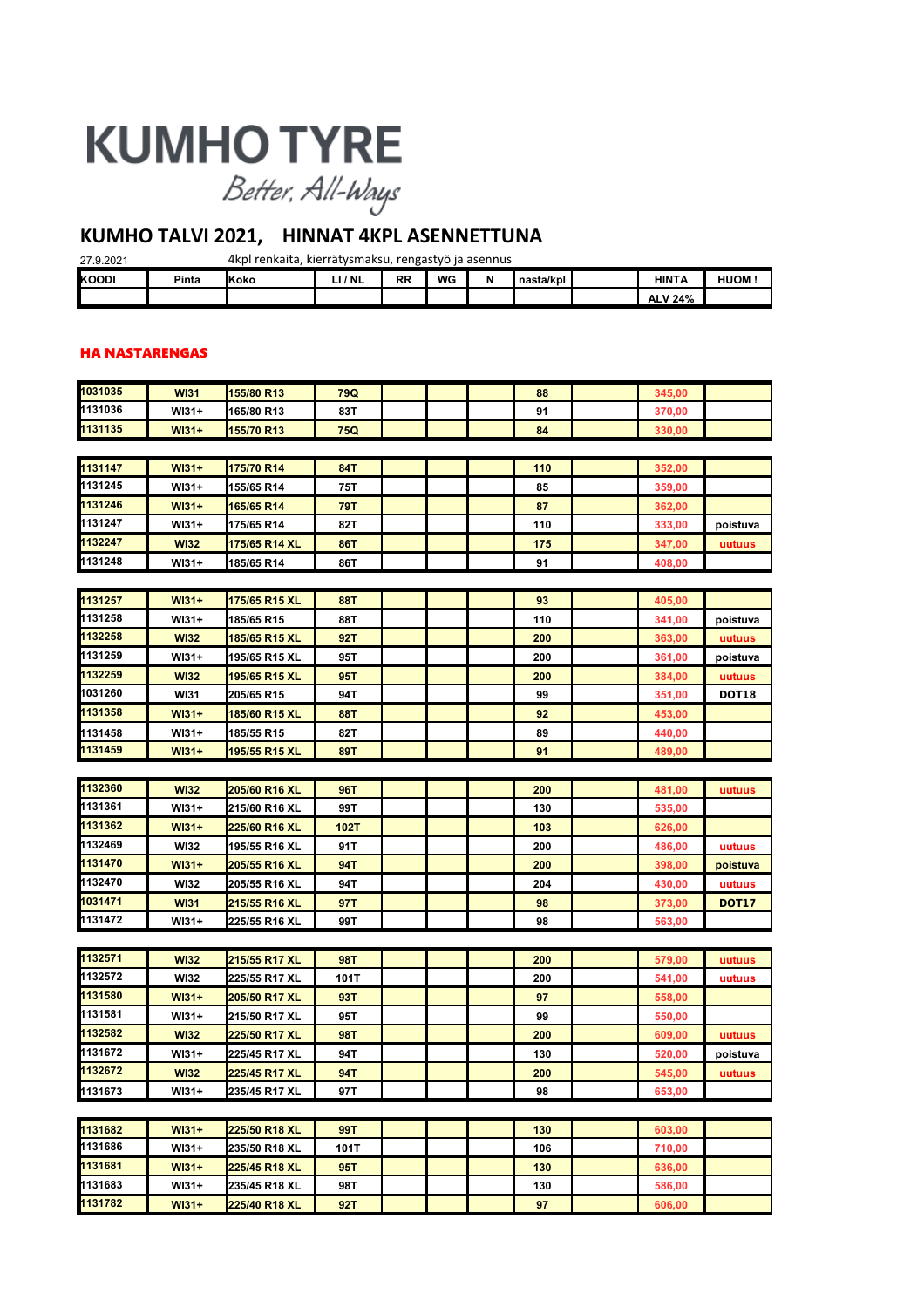# **KUMHO TYRE**

Better, All-Ways

# **KUMHO TALVI 2021, HINNAT 4KPL ASENNETTUNA**

| 4kpl renkaita, kierrätysmaksu, rengastyö ja asennus<br>27.9.2021 |       |              |         |           |    |   |           |  |                |       |
|------------------------------------------------------------------|-------|--------------|---------|-----------|----|---|-----------|--|----------------|-------|
| KOODI                                                            | Pinta | <b>IKoko</b> | LI / NL | <b>RR</b> | WG | N | nasta/kpl |  | <b>HINTA</b>   | HUOM: |
|                                                                  |       |              |         |           |    |   |           |  | <b>ALV 24%</b> |       |

#### HA NASTARENGAS

| 1031035         | <b>WI31</b> | 155/80 R13    | 79Q        |  | 88  | 345,00 |              |
|-----------------|-------------|---------------|------------|--|-----|--------|--------------|
| 1131036         | WI31+       | 165/80 R13    | 83T        |  | 91  | 370,00 |              |
| 1131135         | $W131+$     | 155/70 R13    | 75Q        |  | 84  | 330,00 |              |
|                 |             |               |            |  |     |        |              |
| 1131147         | $W131+$     | 175/70 R14    | 84T        |  | 110 | 352,00 |              |
| 1131245         | WI31+       | 155/65 R14    | 75T        |  | 85  | 359,00 |              |
| 1131246         | $W131+$     | 165/65 R14    | 79T        |  | 87  | 362,00 |              |
| 1131247         | WI31+       | 175/65 R14    | 82T        |  | 110 | 333,00 | poistuva     |
| 1132247         | <b>WI32</b> | 175/65 R14 XL | <b>86T</b> |  | 175 | 347,00 | uutuus       |
| 1131248         | WI31+       | 185/65 R14    | 86T        |  | 91  | 408,00 |              |
|                 |             |               |            |  |     |        |              |
| 1131257         | $W131+$     | 175/65 R15 XL | <b>88T</b> |  | 93  | 405,00 |              |
| 1131258         | WI31+       | 185/65 R15    | 88T        |  | 110 | 341,00 | poistuva     |
| 1132258         | <b>WI32</b> | 185/65 R15 XL | 92T        |  | 200 | 363,00 | uutuus       |
| 1131259         | $W131+$     | 195/65 R15 XL | 95T        |  | 200 | 361,00 | poistuva     |
| 1132259         | <b>WI32</b> | 195/65 R15 XL | 95T        |  | 200 | 384,00 | uutuus       |
| 1031260         | <b>WI31</b> | 205/65 R15    | 94T        |  | 99  | 351,00 | <b>DOT18</b> |
| 1131358         | $W131+$     | 185/60 R15 XL | <b>88T</b> |  | 92  | 453,00 |              |
| 1131458         | WI31+       | 185/55 R15    | 82T        |  | 89  | 440,00 |              |
| 1131459         | $W131+$     | 195/55 R15 XL | <b>89T</b> |  | 91  | 489,00 |              |
|                 |             |               |            |  |     |        |              |
| 1132360         | <b>WI32</b> | 205/60 R16 XL | 96T        |  | 200 | 481,00 | uutuus       |
| 1131361         | $W131+$     | 215/60 R16 XL | 99T        |  | 130 | 535,00 |              |
| 1131362         | $W131+$     | 225/60 R16 XL | 102T       |  | 103 | 626,00 |              |
| 1132469         | <b>WI32</b> | 195/55 R16 XL | 91T        |  | 200 | 486,00 | uutuus       |
| 1131470         | $W131+$     | 205/55 R16 XL | 94T        |  | 200 | 398,00 | poistuva     |
| 1132470         | <b>WI32</b> | 205/55 R16 XL | 94T        |  | 204 | 430,00 | uutuus       |
| 1031471         | <b>WI31</b> | 215/55 R16 XL | 97T        |  | 98  | 373,00 | <b>DOT17</b> |
| 1131472         | WI31+       | 225/55 R16 XL | 99T        |  | 98  | 563,00 |              |
|                 |             |               |            |  |     |        |              |
| 1132571         | <b>WI32</b> | 215/55 R17 XL | 98T        |  | 200 | 579,00 | uutuus       |
| 1132572         | <b>WI32</b> | 225/55 R17 XL | 101T       |  | 200 | 541,00 | uutuus       |
| 1131580         | $W131+$     | 205/50 R17 XL | 93T        |  | 97  | 558,00 |              |
| 1131581         | WI31+       | 215/50 R17 XL | 95T        |  | 99  | 550,00 |              |
| 1132582         | <b>WI32</b> | 225/50 R17 XL | 98T        |  | 200 | 609,00 | uutuus       |
| 1131672         | WI31+       | 225/45 R17 XL | 94T        |  | 130 | 520,00 | poistuva     |
| г<br>1132672    | <b>WI32</b> | 225/45 R17 XL | 94T        |  | 200 | 545,00 | uutuus       |
| <u> 1131673</u> | WI31+       | 235/45 R17 XL | 97T        |  | 98  | 653,00 |              |
|                 |             |               |            |  |     |        |              |
| 1131682         | $W131+$     | 225/50 R18 XL | 99T        |  | 130 | 603,00 |              |
| 1131686         | WI31+       | 235/50 R18 XL | 101T       |  | 106 | 710,00 |              |
| 1131681         | $W131+$     | 225/45 R18 XL | 95T        |  | 130 | 636,00 |              |
| 1131683         | WI31+       | 235/45 R18 XL | 98T        |  | 130 | 586,00 |              |
| 1131782         | $W131+$     | 225/40 R18 XL | 92T        |  | 97  | 606,00 |              |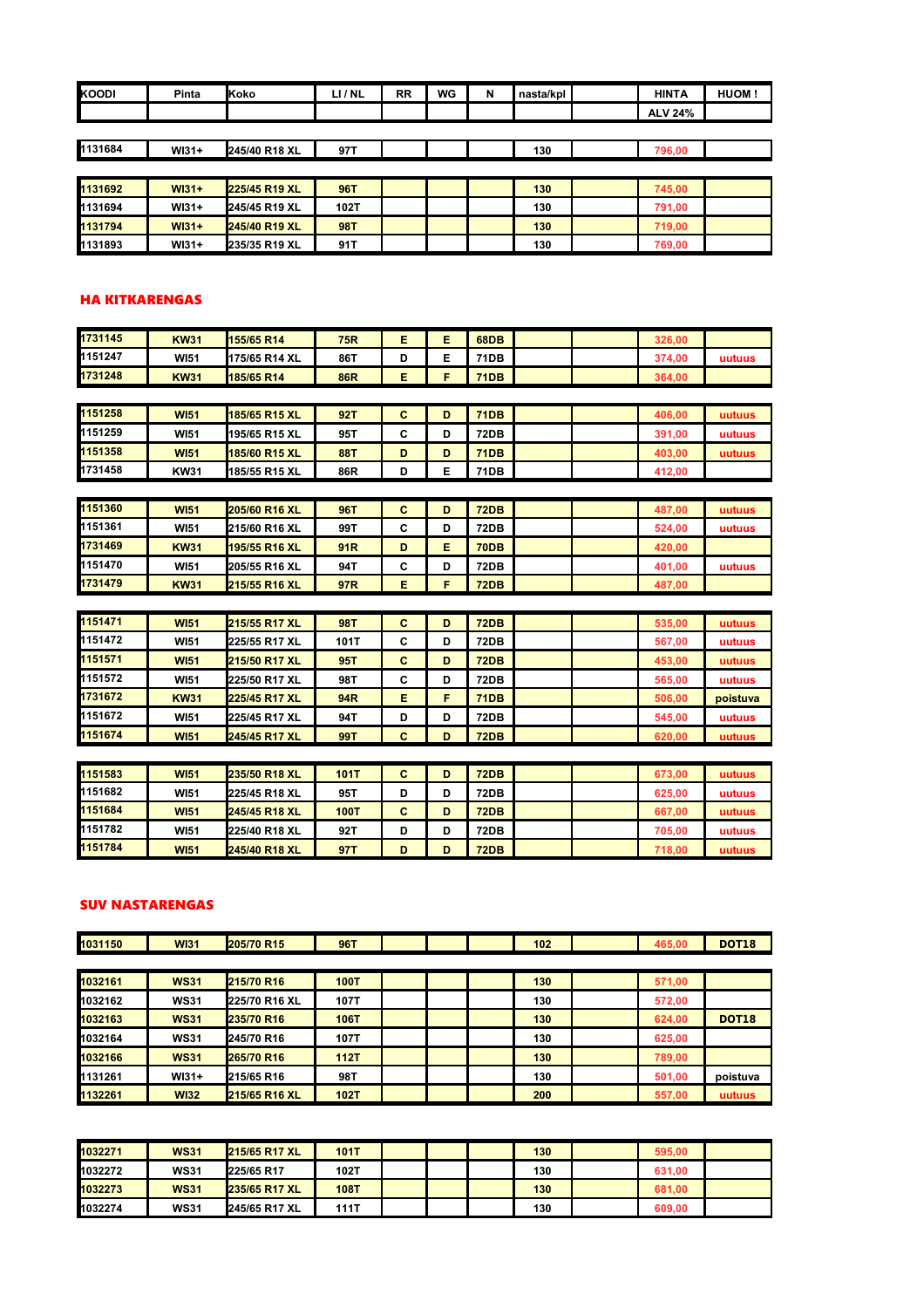| KOODI   | Pinta   | <b>Koko</b>   | LI/NL      | <b>RR</b> | WG | N | nasta/kpl | <b>HINTA</b>   | HUOM! |
|---------|---------|---------------|------------|-----------|----|---|-----------|----------------|-------|
|         |         |               |            |           |    |   |           | <b>ALV 24%</b> |       |
|         |         |               |            |           |    |   |           |                |       |
| 1131684 | $W131+$ | 245/40 R18 XL | 97T        |           |    |   | 130       | 796,00         |       |
|         |         |               |            |           |    |   |           |                |       |
| 1131692 | $W131+$ | 225/45 R19 XL | <b>96T</b> |           |    |   | 130       | 745,00         |       |
| 1131694 | $W131+$ | 245/45 R19 XL | 102T       |           |    |   | 130       | 791,00         |       |
| 1131794 | $W131+$ | 245/40 R19 XL | <b>98T</b> |           |    |   | 130       | 719,00         |       |
| 1131893 | $W131+$ | 235/35 R19 XL | 91T        |           |    |   | 130       | 769,00         |       |

#### HA KITKARENGAS

| 1731145 | <b>KW31</b> | 155/65 R14    | <b>75R</b>      | Е            | E. | 68DB        |  | 326.00 |          |
|---------|-------------|---------------|-----------------|--------------|----|-------------|--|--------|----------|
| 1151247 | <b>WI51</b> | 175/65 R14 XL | 86T             | D            | Е  | <b>71DB</b> |  | 374,00 | uutuus   |
| 1731248 | <b>KW31</b> | 185/65 R14    | <b>86R</b>      | Е            | F. | <b>71DB</b> |  | 364,00 |          |
|         |             |               |                 |              |    |             |  |        |          |
| 1151258 | <b>WI51</b> | 185/65 R15 XL | 92T             | $\mathbf{C}$ | D  | <b>71DB</b> |  | 406.00 | uutuus   |
| 1151259 | <b>WI51</b> | 195/65 R15 XL | 95T             | C            | D  | 72DB        |  | 391,00 | uutuus   |
| 1151358 | <b>WI51</b> | 185/60 R15 XL | <b>88T</b>      | D            | D  | <b>71DB</b> |  | 403.00 | uutuus   |
| 1731458 | <b>KW31</b> | 185/55 R15 XL | 86R             | D            | E. | 71DB        |  | 412,00 |          |
|         |             |               |                 |              |    |             |  |        |          |
| 1151360 | <b>WI51</b> | 205/60 R16 XL | <b>96T</b>      | $\mathbf{C}$ | D  | <b>72DB</b> |  | 487,00 | uutuus   |
| 1151361 | <b>WI51</b> | 215/60 R16 XL | 99T             | C            | D  | <b>72DB</b> |  | 524,00 | uutuus   |
| 1731469 | <b>KW31</b> | 195/55 R16 XL | 91 <sub>R</sub> | D            | E. | <b>70DB</b> |  | 420,00 |          |
| 1151470 | <b>WI51</b> | 205/55 R16 XL | 94T             | C            | D  | 72DB        |  | 401,00 | uutuus   |
| 1731479 | <b>KW31</b> | 215/55 R16 XL | 97R             | Е            | F  | <b>72DB</b> |  | 487,00 |          |
|         |             |               |                 |              |    |             |  |        |          |
| 1151471 | <b>WI51</b> | 215/55 R17 XL | <b>98T</b>      | $\mathbf{C}$ | D  | <b>72DB</b> |  | 535,00 | uutuus   |
| 1151472 | <b>WI51</b> | 225/55 R17 XL | 101T            | C            | D  | 72DB        |  | 567,00 | uutuus   |
| 1151571 | <b>WI51</b> | 215/50 R17 XL | 95T             | C            | D  | <b>72DB</b> |  | 453,00 | uutuus   |
| 1151572 | <b>WI51</b> | 225/50 R17 XL | 98T             | C            | D  | 72DB        |  | 565,00 | uutuus   |
| 1731672 | <b>KW31</b> | 225/45 R17 XL | 94R             | Е            | F  | <b>71DB</b> |  | 506,00 | poistuva |
| 1151672 | <b>WI51</b> | 225/45 R17 XL | 94T             | D            | D  | 72DB        |  | 545,00 | uutuus   |
| 1151674 | <b>WI51</b> | 245/45 R17 XL | 99T             | $\mathbf{C}$ | D  | <b>72DB</b> |  | 620,00 | uutuus   |
|         |             |               |                 |              |    |             |  |        |          |
| 1151583 | <b>WI51</b> | 235/50 R18 XL | 101T            | $\mathbf{C}$ | D  | <b>72DB</b> |  | 673,00 | uutuus   |
| 1151682 | <b>WI51</b> | 225/45 R18 XL | 95T             | D            | D  | <b>72DB</b> |  | 625.00 | unfuns   |

| <b>WI51</b> | <b>235/50 R18 XL</b> | 101T |   | <b>72DB</b> |  | 673.00 | uutuus |
|-------------|----------------------|------|---|-------------|--|--------|--------|
| <b>WI51</b> | 225/45 R18 XL        | 95T  |   | 72DB        |  | 625,00 | uutuus |
| <b>WI51</b> | 245/45 R18 XL        | 100T |   | <b>72DB</b> |  | 667.00 | uutuus |
| <b>WI51</b> | 225/40 R18 XL        | 92T  |   | 72DB        |  | 705.00 | uutuus |
| <b>WI51</b> | 245/40 R18 XL        | 97T  | D | <b>72DB</b> |  | 718.00 | uutuus |
|             |                      |      |   |             |  |        |        |

#### SUV NASTARENGAS

| 1031150 | <b>WI31</b> | 205/70 R15    | <b>96T</b>  |  | 102 | 465,00 | <b>DOT18</b> |
|---------|-------------|---------------|-------------|--|-----|--------|--------------|
|         |             |               |             |  |     |        |              |
| 1032161 | <b>WS31</b> | 215/70 R16    | 100T        |  | 130 | 571,00 |              |
| 1032162 | <b>WS31</b> | 225/70 R16 XL | 107T        |  | 130 | 572,00 |              |
| 1032163 | <b>WS31</b> | 235/70 R16    | 106T        |  | 130 | 624,00 | <b>DOT18</b> |
| 1032164 | <b>WS31</b> | 245/70 R16    | 107T        |  | 130 | 625,00 |              |
| 1032166 | <b>WS31</b> | 265/70 R16    | <b>112T</b> |  | 130 | 789,00 |              |
| 1131261 | $W131+$     | 215/65 R16    | 98T         |  | 130 | 501,00 | poistuva     |
| 1132261 | <b>WI32</b> | 215/65 R16 XL | 102T        |  | 200 | 557,00 | uutuus       |

| 1032271 | <b>WS31</b> | <b>215/65 R17 XL</b> | 101T        |  | 130 | 595,00 |  |
|---------|-------------|----------------------|-------------|--|-----|--------|--|
| 1032272 | <b>WS31</b> | 225/65 R17           | 102T        |  | 130 | 631.00 |  |
| 1032273 | <b>WS31</b> | 235/65 R17 XL        | <b>108T</b> |  | 130 | 681.00 |  |
| 1032274 | <b>WS31</b> | 245/65 R17 XL        | 111T        |  | 130 | 609.00 |  |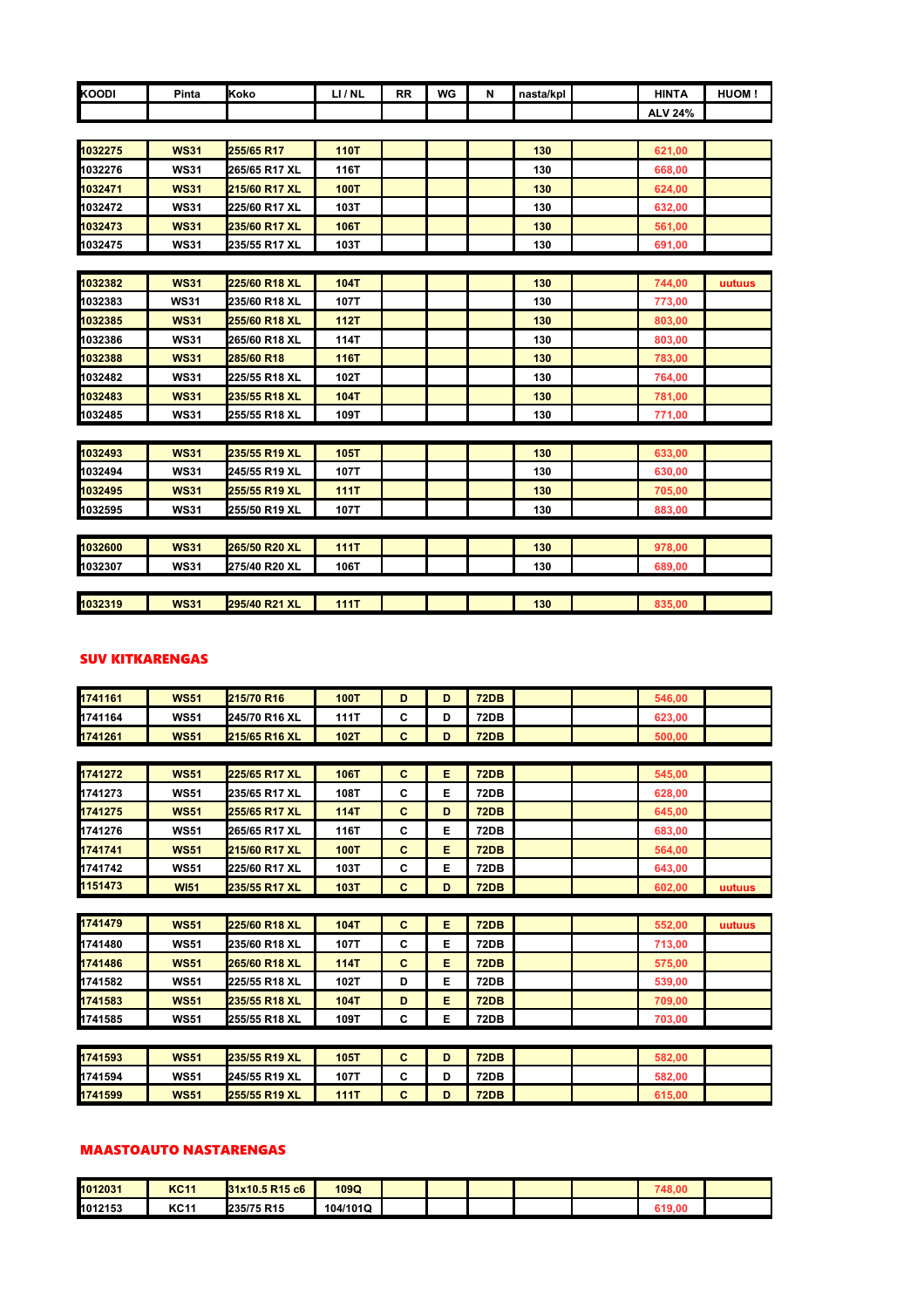| <b>KOODI</b> | Pinta       | Koko          | LI/NL       | <b>RR</b> | WG | N | nasta/kpl | <b>HINTA</b>   | HUOM!  |
|--------------|-------------|---------------|-------------|-----------|----|---|-----------|----------------|--------|
|              |             |               |             |           |    |   |           | <b>ALV 24%</b> |        |
|              |             |               |             |           |    |   |           |                |        |
| 1032275      | <b>WS31</b> | 255/65 R17    | <b>110T</b> |           |    |   | 130       | 621,00         |        |
| 1032276      | <b>WS31</b> | 265/65 R17 XL | 116T        |           |    |   | 130       | 668,00         |        |
| 1032471      | <b>WS31</b> | 215/60 R17 XL | <b>100T</b> |           |    |   | 130       | 624,00         |        |
| 1032472      | <b>WS31</b> | 225/60 R17 XL | 103T        |           |    |   | 130       | 632,00         |        |
| 1032473      | <b>WS31</b> | 235/60 R17 XL | 106T        |           |    |   | 130       | 561,00         |        |
| 1032475      | <b>WS31</b> | 235/55 R17 XL | 103T        |           |    |   | 130       | 691,00         |        |
|              |             |               |             |           |    |   |           |                |        |
| 1032382      | <b>WS31</b> | 225/60 R18 XL | <b>104T</b> |           |    |   | 130       | 744,00         | uutuus |
| 1032383      | <b>WS31</b> | 235/60 R18 XL | 107T        |           |    |   | 130       | 773,00         |        |
| 1032385      | <b>WS31</b> | 255/60 R18 XL | 112T        |           |    |   | 130       | 803,00         |        |
| 1032386      | <b>WS31</b> | 265/60 R18 XL | 114T        |           |    |   | 130       | 803,00         |        |
| 1032388      | <b>WS31</b> | 285/60 R18    | <b>116T</b> |           |    |   | 130       | 783,00         |        |
| 1032482      | <b>WS31</b> | 225/55 R18 XL | 102T        |           |    |   | 130       | 764,00         |        |
| 1032483      | <b>WS31</b> | 235/55 R18 XL | 104T        |           |    |   | 130       | 781,00         |        |
| 1032485      | <b>WS31</b> | 255/55 R18 XL | 109T        |           |    |   | 130       | 771,00         |        |
|              |             |               |             |           |    |   |           |                |        |
| 1032493      | <b>WS31</b> | 235/55 R19 XL | <b>105T</b> |           |    |   | 130       | 633,00         |        |
| 1032494      | <b>WS31</b> | 245/55 R19 XL | 107T        |           |    |   | 130       | 630,00         |        |
| 1032495      | <b>WS31</b> | 255/55 R19 XL | 111T        |           |    |   | 130       | 705,00         |        |
| 1032595      | <b>WS31</b> | 255/50 R19 XL | 107T        |           |    |   | 130       | 883,00         |        |
|              |             |               |             |           |    |   |           |                |        |
| 1032600      | <b>WS31</b> | 265/50 R20 XL | 111T        |           |    |   | 130       | 978,00         |        |
| 1032307      | <b>WS31</b> | 275/40 R20 XL | 106T        |           |    |   | 130       | 689,00         |        |
|              |             |               |             |           |    |   |           |                |        |
| 1032319      | <b>WS31</b> | 295/40 R21 XL | <b>111T</b> |           |    |   | 130       | 835,00         |        |

#### SUV KITKARENGAS

| 1741161 | <b>WS51</b> | 215/70 R16    | <b>100T</b> | D | D | <b>72DB</b> |  | 546,00 |        |
|---------|-------------|---------------|-------------|---|---|-------------|--|--------|--------|
| 1741164 | <b>WS51</b> | 245/70 R16 XL | <b>111T</b> | С | D | 72DB        |  | 623,00 |        |
| 1741261 | <b>WS51</b> | 215/65 R16 XL | 102T        | С | D | <b>72DB</b> |  | 500,00 |        |
|         |             |               |             |   |   |             |  |        |        |
| 1741272 | <b>WS51</b> | 225/65 R17 XL | 106T        | C | Е | <b>72DB</b> |  | 545,00 |        |
| 1741273 | <b>WS51</b> | 235/65 R17 XL | 108T        | С | Е | 72DB        |  | 628,00 |        |
| 1741275 | <b>WS51</b> | 255/65 R17 XL | <b>114T</b> | C | D | <b>72DB</b> |  | 645,00 |        |
| 1741276 | <b>WS51</b> | 265/65 R17 XL | 116T        | С | Е | 72DB        |  | 683,00 |        |
| 1741741 | <b>WS51</b> | 215/60 R17 XL | <b>100T</b> | C | Е | <b>72DB</b> |  | 564,00 |        |
| 1741742 | <b>WS51</b> | 225/60 R17 XL | 103T        | C | Е | 72DB        |  | 643,00 |        |
| 1151473 | <b>WI51</b> | 235/55 R17 XL | 103T        | С | D | <b>72DB</b> |  | 602,00 | uutuus |

| 1741479 | <b>WS51</b> | 225/60 R18 XL        | 104T | C | E | <b>72DB</b> |  | 552.00 | uutuus |
|---------|-------------|----------------------|------|---|---|-------------|--|--------|--------|
| 1741480 | <b>WS51</b> | 235/60 R18 XL        | 107T | C | E | <b>72DB</b> |  | 713.00 |        |
| 1741486 | <b>WS51</b> | <b>265/60 R18 XL</b> | 114T | С | E | <b>72DB</b> |  | 575,00 |        |
| 1741582 | <b>WS51</b> | 225/55 R18 XL        | 102T | D | Е | <b>72DB</b> |  | 539.00 |        |
| 1741583 | <b>WS51</b> | 235/55 R18 XL        | 104T | D | Е | <b>72DB</b> |  | 709,00 |        |
| 1741585 | <b>WS51</b> | <b>255/55 R18 XL</b> | 109T | C | F | 72DB        |  | 703,00 |        |

| 1741593 | <b>WS51</b> | <b>235/55 R19 XL</b> | 105T        |   | <b>72DB</b> |  | 582.00 |  |
|---------|-------------|----------------------|-------------|---|-------------|--|--------|--|
| 1741594 | <b>WS51</b> | 245/55 R19 XL        | 107T        |   | 72DB        |  | 582.00 |  |
| 1741599 | <b>WS51</b> | <b>255/55 R19 XL</b> | <b>111T</b> | ш | <b>72DB</b> |  | 615.00 |  |

## MAASTOAUTO NASTARENGAS

| 1012031 | <b>KC11</b> | 31x10.5 R15 c6 | 109Q     |  |  | 748.00 |  |
|---------|-------------|----------------|----------|--|--|--------|--|
| 1012153 | <b>KC11</b> | 235/75 R15     | 104/101Q |  |  | 619.00 |  |